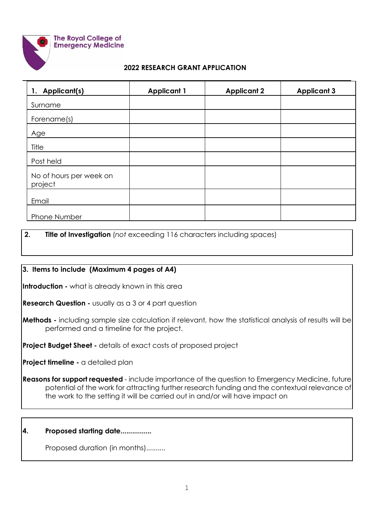

#### **The Royal College of Emergency Medicine**

#### **2022 RESEARCH GRANT APPLICATION**

| 1. Applicant(s)                    | <b>Applicant 1</b> | <b>Applicant 2</b> | <b>Applicant 3</b> |
|------------------------------------|--------------------|--------------------|--------------------|
| Surname                            |                    |                    |                    |
| Forename(s)                        |                    |                    |                    |
| Age                                |                    |                    |                    |
| Title                              |                    |                    |                    |
| Post held                          |                    |                    |                    |
| No of hours per week on<br>project |                    |                    |                    |
| Email                              |                    |                    |                    |
| Phone Number                       |                    |                    |                    |

## **2. Title of Investigation** (*not* exceeding 116 characters including spaces)

## **3. Items to include (Maximum 4 pages of A4)**

**Introduction -** what is already known in this area

**Research Question -** usually as a 3 or 4 part question

**Methods** - including sample size calculation if relevant, how the statistical analysis of results will be performed and a timeline for the project.

**Project Budget Sheet -** details of exact costs of proposed project

**Project timeline -** a detailed plan

**Reasons for support requested** - include importance of the question to Emergency Medicine, future potential of the work for attracting further research funding and the contextual relevance of the work to the setting it will be carried out in and/or will have impact on

## **4. Proposed starting date................**

Proposed duration (in months)..........